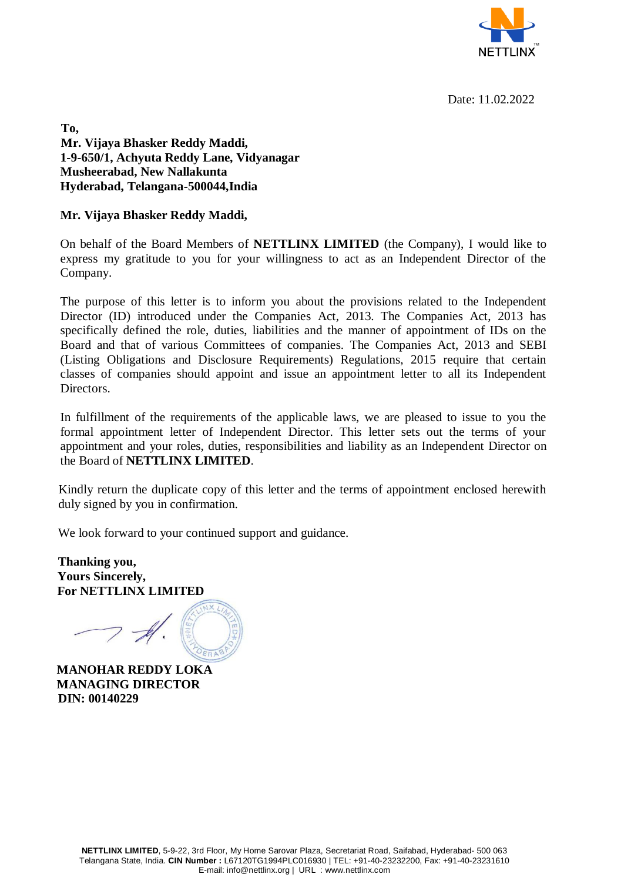

Date: 11.02.2022

**To, Mr. Vijaya Bhasker Reddy Maddi, 1-9-650/1, Achyuta Reddy Lane, Vidyanagar Musheerabad, New Nallakunta Hyderabad, Telangana-500044,India**

**Mr. Vijaya Bhasker Reddy Maddi,**

On behalf of the Board Members of **NETTLINX LIMITED** (the Company), I would like to express my gratitude to you for your willingness to act as an Independent Director of the Company.

The purpose of this letter is to inform you about the provisions related to the Independent Director (ID) introduced under the Companies Act, 2013. The Companies Act, 2013 has specifically defined the role, duties, liabilities and the manner of appointment of IDs on the Board and that of various Committees of companies. The Companies Act, 2013 and SEBI (Listing Obligations and Disclosure Requirements) Regulations, 2015 require that certain classes of companies should appoint and issue an appointment letter to all its Independent Directors.

In fulfillment of the requirements of the applicable laws, we are pleased to issue to you the formal appointment letter of Independent Director. This letter sets out the terms of your appointment and your roles, duties, responsibilities and liability as an Independent Director on the Board of **NETTLINX LIMITED**.

Kindly return the duplicate copy of this letter and the terms of appointment enclosed herewith duly signed by you in confirmation.

We look forward to your continued support and guidance.

**Thanking you, Yours Sincerely, For NETTLINX LIMITED** 

**MANOHAR REDDY LOKA MANAGING DIRECTOR DIN: 00140229**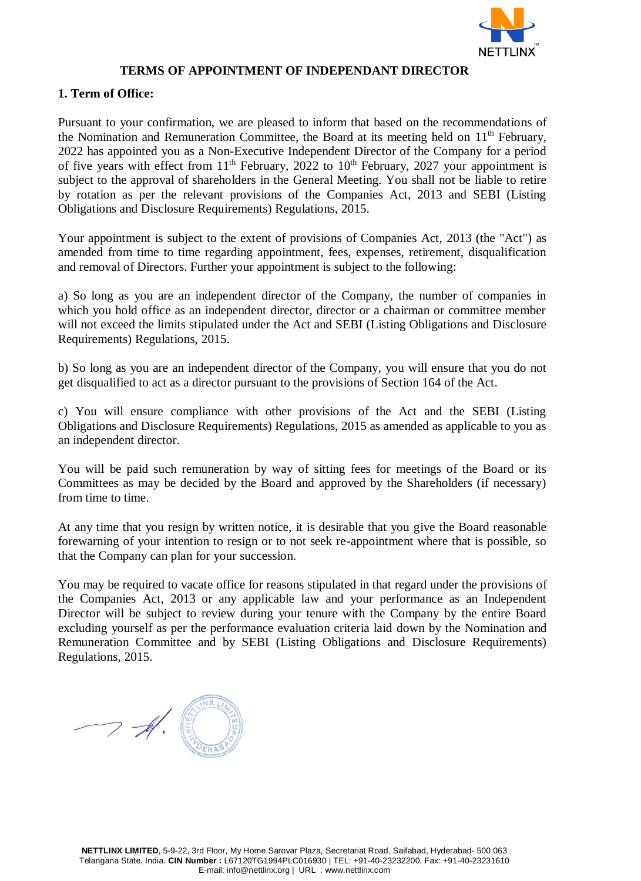

### **TERMS OF APPOINTMENT OF INDEPENDANT DIRECTOR**

# **1. Term of Office:**

Pursuant to your confirmation, we are pleased to inform that based on the recommendations of the Nomination and Remuneration Committee, the Board at its meeting held on  $11<sup>th</sup>$  February, 2022 has appointed you as a Non-Executive Independent Director of the Company for a period of five years with effect from  $11<sup>th</sup>$  February, 2022 to  $10<sup>th</sup>$  February, 2027 your appointment is subject to the approval of shareholders in the General Meeting. You shall not be liable to retire by rotation as per the relevant provisions of the Companies Act, 2013 and SEBI (Listing Obligations and Disclosure Requirements) Regulations, 2015.

Your appointment is subject to the extent of provisions of Companies Act, 2013 (the "Act") as amended from time to time regarding appointment, fees, expenses, retirement, disqualification and removal of Directors. Further your appointment is subject to the following:

a) So long as you are an independent director of the Company, the number of companies in which you hold office as an independent director, director or a chairman or committee member will not exceed the limits stipulated under the Act and SEBI (Listing Obligations and Disclosure Requirements) Regulations, 2015.

b) So long as you are an independent director of the Company, you will ensure that you do not get disqualified to act as a director pursuant to the provisions of Section 164 of the Act.

c) You will ensure compliance with other provisions of the Act and the SEBI (Listing Obligations and Disclosure Requirements) Regulations, 2015 as amended as applicable to you as an independent director.

You will be paid such remuneration by way of sitting fees for meetings of the Board or its Committees as may be decided by the Board and approved by the Shareholders (if necessary) from time to time.

At any time that you resign by written notice, it is desirable that you give the Board reasonable forewarning of your intention to resign or to not seek re-appointment where that is possible, so that the Company can plan for your succession.

You may be required to vacate office for reasons stipulated in that regard under the provisions of the Companies Act, 2013 or any applicable law and your performance as an Independent Director will be subject to review during your tenure with the Company by the entire Board excluding yourself as per the performance evaluation criteria laid down by the Nomination and Remuneration Committee and by SEBI (Listing Obligations and Disclosure Requirements) Regulations, 2015.

 $\rightarrow$  H.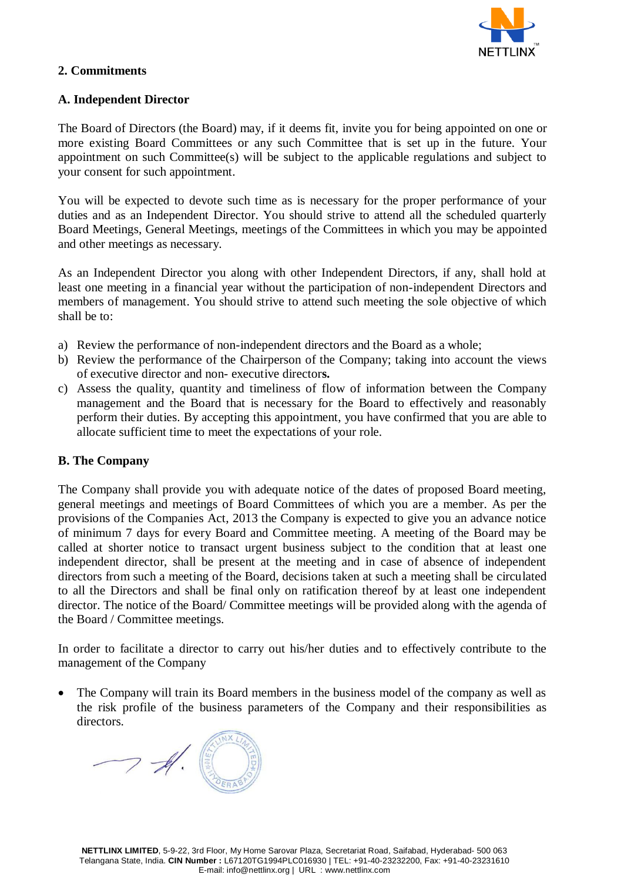

### **2. Commitments**

### **A. Independent Director**

The Board of Directors (the Board) may, if it deems fit, invite you for being appointed on one or more existing Board Committees or any such Committee that is set up in the future. Your appointment on such Committee(s) will be subject to the applicable regulations and subject to your consent for such appointment.

You will be expected to devote such time as is necessary for the proper performance of your duties and as an Independent Director. You should strive to attend all the scheduled quarterly Board Meetings, General Meetings, meetings of the Committees in which you may be appointed and other meetings as necessary.

As an Independent Director you along with other Independent Directors, if any, shall hold at least one meeting in a financial year without the participation of non-independent Directors and members of management. You should strive to attend such meeting the sole objective of which shall be to:

- a) Review the performance of non-independent directors and the Board as a whole;
- b) Review the performance of the Chairperson of the Company; taking into account the views of executive director and non- executive director**s.**
- c) Assess the quality, quantity and timeliness of flow of information between the Company management and the Board that is necessary for the Board to effectively and reasonably perform their duties. By accepting this appointment, you have confirmed that you are able to allocate sufficient time to meet the expectations of your role.

# **B. The Company**

The Company shall provide you with adequate notice of the dates of proposed Board meeting, general meetings and meetings of Board Committees of which you are a member. As per the provisions of the Companies Act, 2013 the Company is expected to give you an advance notice of minimum 7 days for every Board and Committee meeting. A meeting of the Board may be called at shorter notice to transact urgent business subject to the condition that at least one independent director, shall be present at the meeting and in case of absence of independent directors from such a meeting of the Board, decisions taken at such a meeting shall be circulated to all the Directors and shall be final only on ratification thereof by at least one independent director. The notice of the Board/ Committee meetings will be provided along with the agenda of the Board / Committee meetings.

In order to facilitate a director to carry out his/her duties and to effectively contribute to the management of the Company

 The Company will train its Board members in the business model of the company as well as the risk profile of the business parameters of the Company and their responsibilities as directors.

 $7 - 4$ .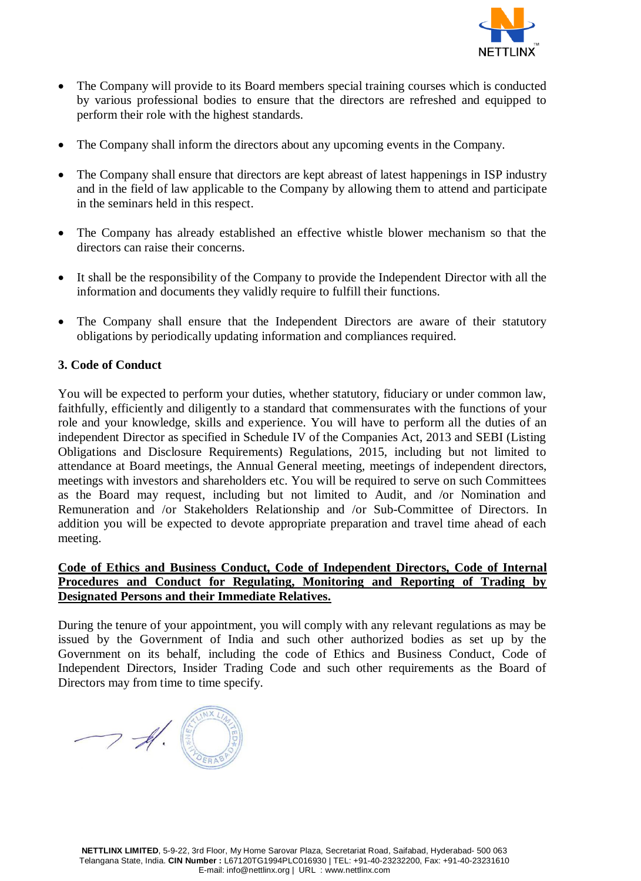

- The Company will provide to its Board members special training courses which is conducted by various professional bodies to ensure that the directors are refreshed and equipped to perform their role with the highest standards.
- The Company shall inform the directors about any upcoming events in the Company.
- The Company shall ensure that directors are kept abreast of latest happenings in ISP industry and in the field of law applicable to the Company by allowing them to attend and participate in the seminars held in this respect.
- The Company has already established an effective whistle blower mechanism so that the directors can raise their concerns.
- It shall be the responsibility of the Company to provide the Independent Director with all the information and documents they validly require to fulfill their functions.
- The Company shall ensure that the Independent Directors are aware of their statutory obligations by periodically updating information and compliances required.

# **3. Code of Conduct**

You will be expected to perform your duties, whether statutory, fiduciary or under common law, faithfully, efficiently and diligently to a standard that commensurates with the functions of your role and your knowledge, skills and experience. You will have to perform all the duties of an independent Director as specified in Schedule IV of the Companies Act, 2013 and SEBI (Listing Obligations and Disclosure Requirements) Regulations, 2015, including but not limited to attendance at Board meetings, the Annual General meeting, meetings of independent directors, meetings with investors and shareholders etc. You will be required to serve on such Committees as the Board may request, including but not limited to Audit, and /or Nomination and Remuneration and /or Stakeholders Relationship and /or Sub-Committee of Directors. In addition you will be expected to devote appropriate preparation and travel time ahead of each meeting.

# **Code of Ethics and Business Conduct, Code of Independent Directors, Code of Internal Procedures and Conduct for Regulating, Monitoring and Reporting of Trading by Designated Persons and their Immediate Relatives.**

During the tenure of your appointment, you will comply with any relevant regulations as may be issued by the Government of India and such other authorized bodies as set up by the Government on its behalf, including the code of Ethics and Business Conduct, Code of Independent Directors, Insider Trading Code and such other requirements as the Board of Directors may from time to time specify.

 $7 - 4$ .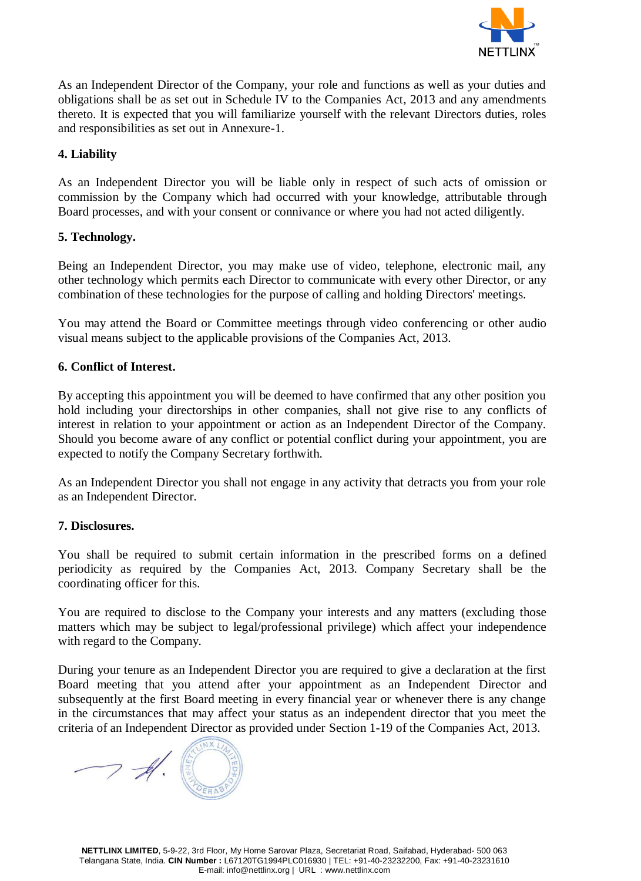

As an Independent Director of the Company, your role and functions as well as your duties and obligations shall be as set out in Schedule IV to the Companies Act, 2013 and any amendments thereto. It is expected that you will familiarize yourself with the relevant Directors duties, roles and responsibilities as set out in Annexure-1.

# **4. Liability**

As an Independent Director you will be liable only in respect of such acts of omission or commission by the Company which had occurred with your knowledge, attributable through Board processes, and with your consent or connivance or where you had not acted diligently.

#### **5. Technology.**

Being an Independent Director, you may make use of video, telephone, electronic mail, any other technology which permits each Director to communicate with every other Director, or any combination of these technologies for the purpose of calling and holding Directors' meetings.

You may attend the Board or Committee meetings through video conferencing or other audio visual means subject to the applicable provisions of the Companies Act, 2013.

# **6. Conflict of Interest.**

By accepting this appointment you will be deemed to have confirmed that any other position you hold including your directorships in other companies, shall not give rise to any conflicts of interest in relation to your appointment or action as an Independent Director of the Company. Should you become aware of any conflict or potential conflict during your appointment, you are expected to notify the Company Secretary forthwith.

As an Independent Director you shall not engage in any activity that detracts you from your role as an Independent Director.

#### **7. Disclosures.**

You shall be required to submit certain information in the prescribed forms on a defined periodicity as required by the Companies Act, 2013. Company Secretary shall be the coordinating officer for this.

You are required to disclose to the Company your interests and any matters (excluding those matters which may be subject to legal/professional privilege) which affect your independence with regard to the Company.

During your tenure as an Independent Director you are required to give a declaration at the first Board meeting that you attend after your appointment as an Independent Director and subsequently at the first Board meeting in every financial year or whenever there is any change in the circumstances that may affect your status as an independent director that you meet the criteria of an Independent Director as provided under Section 1-19 of the Companies Act, 2013.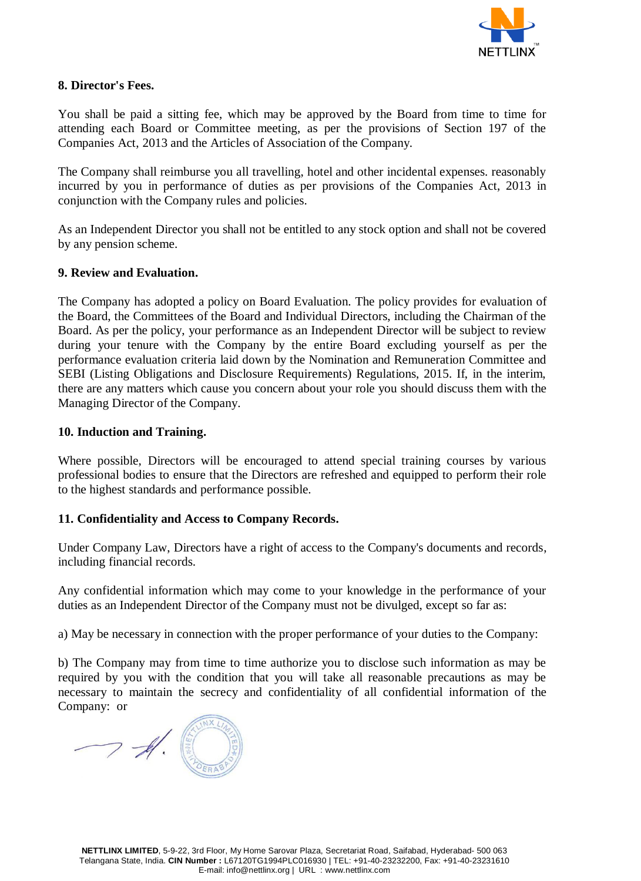

# **8. Director's Fees.**

You shall be paid a sitting fee, which may be approved by the Board from time to time for attending each Board or Committee meeting, as per the provisions of Section 197 of the Companies Act, 2013 and the Articles of Association of the Company.

The Company shall reimburse you all travelling, hotel and other incidental expenses. reasonably incurred by you in performance of duties as per provisions of the Companies Act, 2013 in conjunction with the Company rules and policies.

As an Independent Director you shall not be entitled to any stock option and shall not be covered by any pension scheme.

# **9. Review and Evaluation.**

The Company has adopted a policy on Board Evaluation. The policy provides for evaluation of the Board, the Committees of the Board and Individual Directors, including the Chairman of the Board. As per the policy, your performance as an Independent Director will be subject to review during your tenure with the Company by the entire Board excluding yourself as per the performance evaluation criteria laid down by the Nomination and Remuneration Committee and SEBI (Listing Obligations and Disclosure Requirements) Regulations, 2015. If, in the interim, there are any matters which cause you concern about your role you should discuss them with the Managing Director of the Company.

#### **10. Induction and Training.**

Where possible, Directors will be encouraged to attend special training courses by various professional bodies to ensure that the Directors are refreshed and equipped to perform their role to the highest standards and performance possible.

# **11. Confidentiality and Access to Company Records.**

Under Company Law, Directors have a right of access to the Company's documents and records, including financial records.

Any confidential information which may come to your knowledge in the performance of your duties as an Independent Director of the Company must not be divulged, except so far as:

a) May be necessary in connection with the proper performance of your duties to the Company:

b) The Company may from time to time authorize you to disclose such information as may be required by you with the condition that you will take all reasonable precautions as may be necessary to maintain the secrecy and confidentiality of all confidential information of the Company: or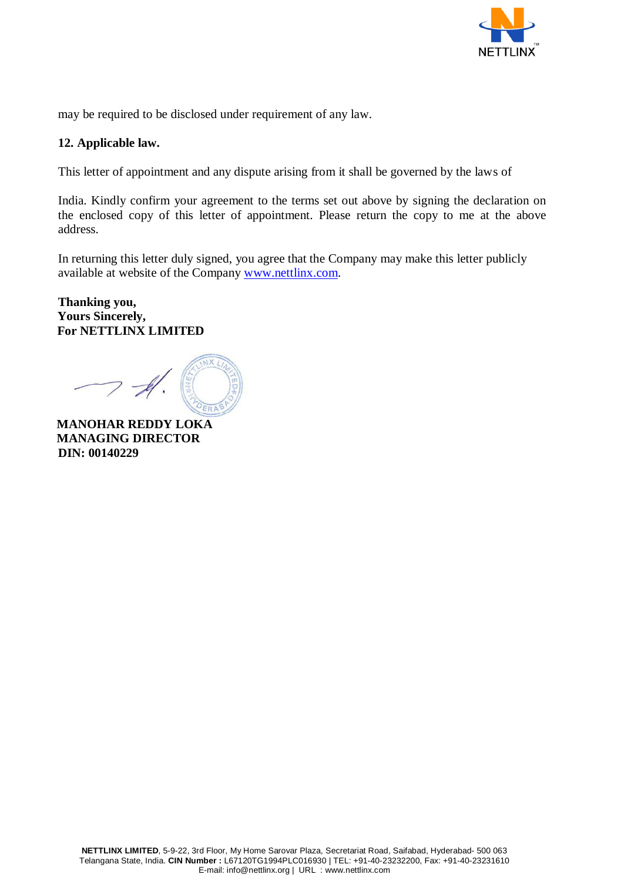

may be required to be disclosed under requirement of any law.

# **12. Applicable law.**

This letter of appointment and any dispute arising from it shall be governed by the laws of

India. Kindly confirm your agreement to the terms set out above by signing the declaration on the enclosed copy of this letter of appointment. Please return the copy to me at the above address.

In returning this letter duly signed, you agree that the Company may make this letter publicly available at website of the Company [www.nettlinx.com.](http://www.nettlinx.com/)

# **Thanking you, Yours Sincerely, For NETTLINX LIMITED**

**MANOHAR REDDY LOKA MANAGING DIRECTOR DIN: 00140229**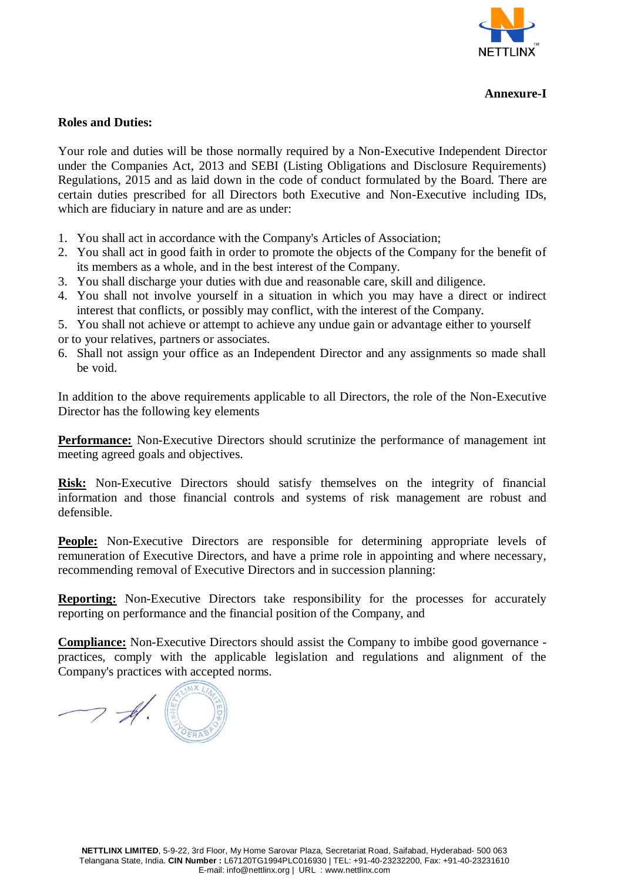

### **Annexure-I**

### **Roles and Duties:**

Your role and duties will be those normally required by a Non-Executive Independent Director under the Companies Act, 2013 and SEBI (Listing Obligations and Disclosure Requirements) Regulations, 2015 and as laid down in the code of conduct formulated by the Board. There are certain duties prescribed for all Directors both Executive and Non-Executive including IDs, which are fiduciary in nature and are as under:

- 1. You shall act in accordance with the Company's Articles of Association;
- 2. You shall act in good faith in order to promote the objects of the Company for the benefit of its members as a whole, and in the best interest of the Company.
- 3. You shall discharge your duties with due and reasonable care, skill and diligence.
- 4. You shall not involve yourself in a situation in which you may have a direct or indirect interest that conflicts, or possibly may conflict, with the interest of the Company.
- 5. You shall not achieve or attempt to achieve any undue gain or advantage either to yourself or to your relatives, partners or associates.
- 6. Shall not assign your office as an Independent Director and any assignments so made shall be void.

In addition to the above requirements applicable to all Directors, the role of the Non-Executive Director has the following key elements

**Performance:** Non-Executive Directors should scrutinize the performance of management int meeting agreed goals and objectives.

**Risk:** Non-Executive Directors should satisfy themselves on the integrity of financial information and those financial controls and systems of risk management are robust and defensible.

**People:** Non-Executive Directors are responsible for determining appropriate levels of remuneration of Executive Directors, and have a prime role in appointing and where necessary, recommending removal of Executive Directors and in succession planning:

**Reporting:** Non-Executive Directors take responsibility for the processes for accurately reporting on performance and the financial position of the Company, and

**Compliance:** Non-Executive Directors should assist the Company to imbibe good governance practices, comply with the applicable legislation and regulations and alignment of the Company's practices with accepted norms.